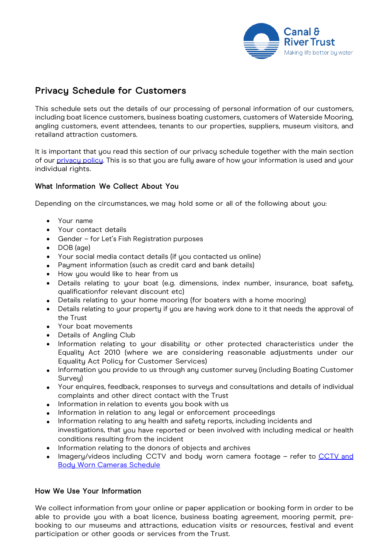

# Privacy Schedule for Customers

This schedule sets out the details of our processing of personal information of our customers, including boat licence customers, business boating customers, customers of Waterside Mooring, angling customers, event attendees, tenants to our properties, suppliers, museum visitors, and retailand attraction customers.

It is important that you read this section of our privacy schedule together with the main section of our [privacy](https://canalrivertrust.org.uk/cookie-and-privacy-policy) policy. This is so that you are fully aware of how your information is used and your individual rights.

## What Information We Collect About You

Depending on the circumstances, we may hold some or all of the following about you:

- Your name
- Your contact details
- Gender for Let's Fish Registration purposes
- DOB (age)
- Your social media contact details (if you contacted us online)
- Payment information (such as credit card and bank details)
- How you would like to hear from us
- Details relating to your boat (e.g. dimensions, index number, insurance, boat safety, qualificationfor relevant discount etc)
- Details relating to your home mooring (for boaters with a home mooring)
- Details relating to your property if you are having work done to it that needs the approval of the Trust
- Your boat movements
- Details of Angling Club
- Information relating to your disability or other protected characteristics under the Equality Act 2010 (where we are considering reasonable adjustments under our Equality Act Policy for Customer Services)
- Information you provide to us through any customer survey (including Boating Customer Survey)
- Your enquires, feedback, responses to surveys and consultations and details of individual complaints and other direct contact with the Trust
- Information in relation to events you book with us
- Information in relation to any legal or enforcement proceedings
- Information relating to any health and safety reports, including incidents and investigations, that you have reported or been involved with including medical or health conditions resulting from the incident
- Information relating to the donors of objects and archives
- Imagery/videos including [CCTV and](https://canalrivertrust.org.uk/refresh/media/thumbnail/42406-cctv-privacy-schedule-july-2021.pdf) body worn camera footage refer to CCTV and [Body Worn Cameras](https://canalrivertrust.org.uk/refresh/media/thumbnail/42406-cctv-privacy-schedule-july-2021.pdf) Schedule

#### How We Use Your Information

We collect information from your online or paper application or booking form in order to be able to provide you with a boat licence, business boating agreement, mooring permit, prebooking to our museums and attractions, education visits or resources, festival and event participation or other goods or services from the Trust.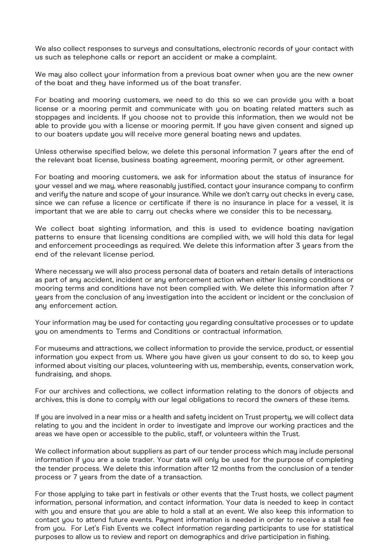We also collect responses to surveys and consultations, electronic records of your contact with us such as telephone calls or report an accident or make a complaint.

We may also collect your information from a previous boat owner when you are the new owner of the boat and they have informed us of the boat transfer.

For boating and mooring customers, we need to do this so we can provide you with a boat license or a mooring permit and communicate with you on boating related matters such as stoppages and incidents. If you choose not to provide this information, then we would not be able to provide you with a license or mooring permit. If you have given consent and signed up to our boaters update you will receive more general boating news and updates.

Unless otherwise specified below, we delete this personal information 7 years after the end of the relevant boat license, business boating agreement, mooring permit, or other agreement.

For boating and mooring customers, we ask for information about the status of insurance for your vessel and we may, where reasonably justified, contact your insurance company to confirm and verify the nature and scope of your insurance. While we don't carry out checks in every case, since we can refuse a licence or certificate if there is no insurance in place for a vessel, it is important that we are able to carry out checks where we consider this to be necessary.

We collect boat sighting information, and this is used to evidence boating navigation patterns to ensure that licensing conditions are complied with, we will hold this data for legal and enforcement proceedings as required. We delete this information after 3 years from the end of the relevant license period.

Where necessary we will also process personal data of boaters and retain details of interactions as part of any accident, incident or any enforcement action when either licensing conditions or mooring terms and conditions have not been complied with. We delete this information after 7 years from the conclusion of any investigation into the accident or incident or the conclusion of any enforcement action.

Your information may be used for contacting you regarding consultative processes or to update you on amendments to Terms and Conditions or contractual information.

For museums and attractions, we collect information to provide the service, product, or essential information you expect from us. Where you have given us your consent to do so, to keep you informed about visiting our places, volunteering with us, membership, events, conservation work, fundraising, and shops.

For our archives and collections, we collect information relating to the donors of objects and archives, this is done to comply with our legal obligations to record the owners of these items.

If you are involved in a near miss or a health and safety incident on Trust property, we will collect data relating to you and the incident in order to investigate and improve our working practices and the areas we have open or accessible to the public, staff, or volunteers within the Trust.

We collect information about suppliers as part of our tender process which may include personal information if you are a sole trader. Your data will only be used for the purpose of completing the tender process. We delete this information after 12 months from the conclusion of a tender process or 7 years from the date of a transaction.

For those applying to take part in festivals or other events that the Trust hosts, we collect payment information, personal information, and contact information. Your data is needed to keep in contact with you and ensure that you are able to hold a stall at an event. We also keep this information to contact you to attend future events. Payment information is needed in order to receive a stall fee from you. For Let's Fish Events we collect information regarding participants to use for statistical purposes to allow us to review and report on demographics and drive participation in fishing.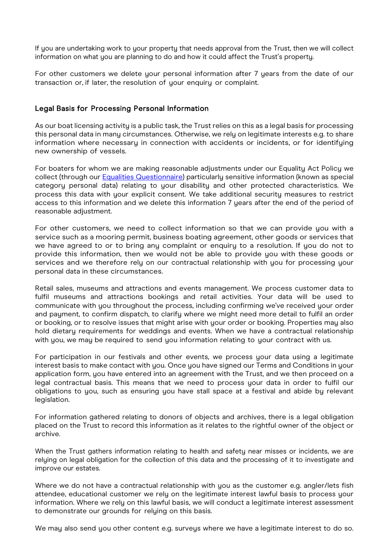If you are undertaking work to your property that needs approval from the Trust, then we will collect information on what you are planning to do and how it could affect the Trust's property.

For other customers we delete your personal information after 7 years from the date of our transaction or, if later, the resolution of your enquiry or complaint.

### Legal Basis for Processing Personal Information

As our boat licensing activity is a public task, the Trust relies on this as a legal basis for processing this personal data in many circumstances. Otherwise, we rely on legitimate interests e.g. to share information where necessary in connection with accidents or incidents, or for identifying new ownership of vessels.

For boaters for whom we are making reasonable adjustments under our Equality Act Policy we collect (through our **Equalities Questionnaire**) particularly sensitive information (known as special category personal data) relating to your disability and other protected characteristics. We process this data with your explicit consent. We take additional security measures to restrict access to this information and we delete this information 7 years after the end of the period of reasonable adjustment.

For other customers, we need to collect information so that we can provide you with a service such as a mooring permit, business boating agreement, other goods or services that we have agreed to or to bring any complaint or enquiry to a resolution. If you do not to provide this information, then we would not be able to provide you with these goods or services and we therefore rely on our contractual relationship with you for processing your personal data in these circumstances.

Retail sales, museums and attractions and events management. We process customer data to fulfil museums and attractions bookings and retail activities. Your data will be used to communicate with you throughout the process, including confirming we've received your order and payment, to confirm dispatch, to clarify where we might need more detail to fulfil an order or booking, or to resolve issues that might arise with your order or booking. Properties may also hold dietary requirements for weddings and events. When we have a contractual relationship with you, we may be required to send you information relating to your contract with us.

For participation in our festivals and other events, we process your data using a legitimate interest basis to make contact with you. Once you have signed our Terms and Conditions in your application form, you have entered into an agreement with the Trust, and we then proceed on a legal contractual basis. This means that we need to process your data in order to fulfil our obligations to you, such as ensuring you have stall space at a festival and abide by relevant legislation.

For information gathered relating to donors of objects and archives, there is a legal obligation placed on the Trust to record this information as it relates to the rightful owner of the object or archive.

When the Trust gathers information relating to health and safety near misses or incidents, we are relying on legal obligation for the collection of this data and the processing of it to investigate and improve our estates.

Where we do not have a contractual relationship with you as the customer e.g. angler/lets fish attendee, educational customer we rely on the legitimate interest lawful basis to process your information. Where we rely on this lawful basis, we will conduct a legitimate interest assessment to demonstrate our grounds for relying on this basis.

We may also send you other content e.g. surveys where we have a legitimate interest to do so.